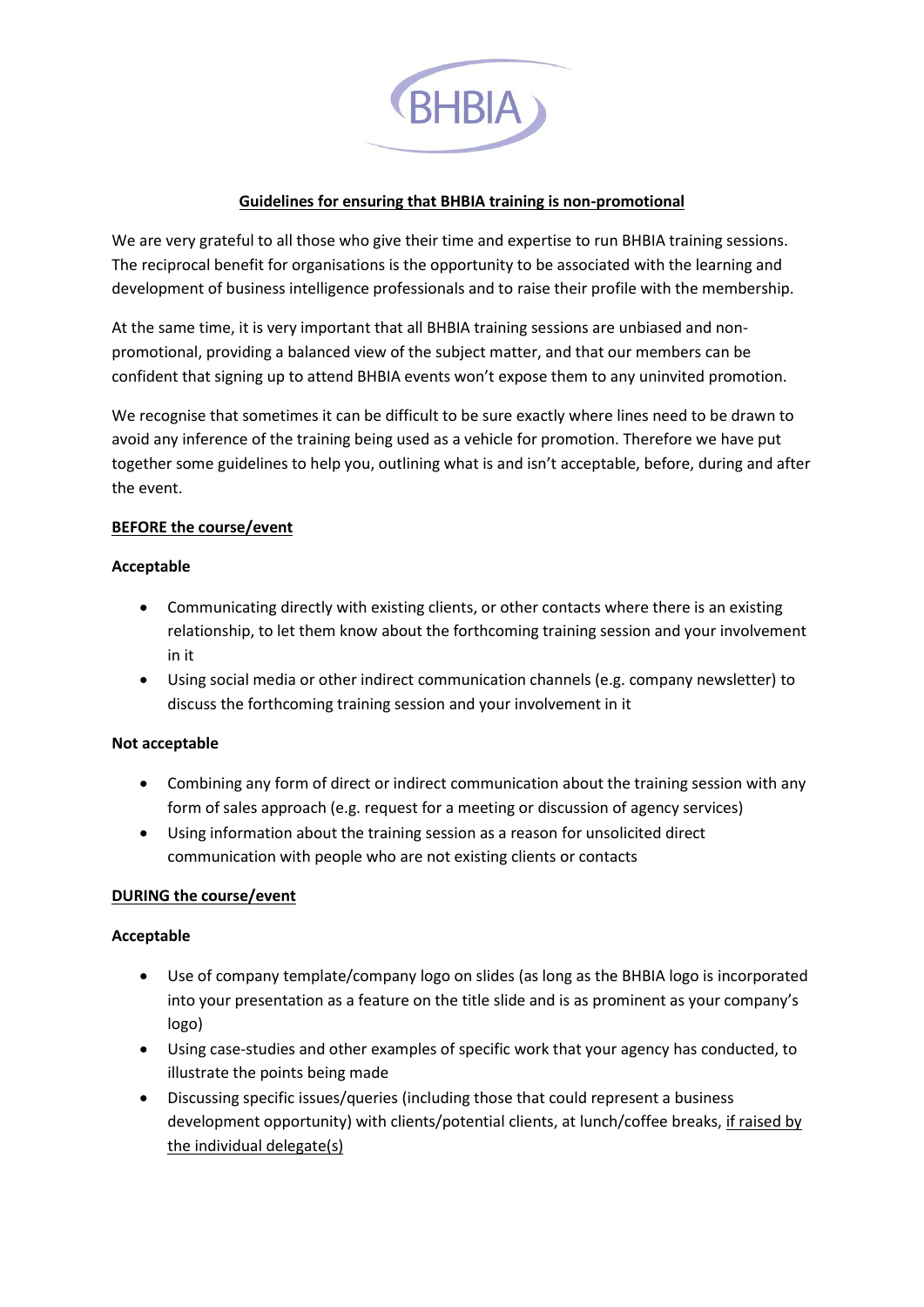

## **Guidelines for ensuring that BHBIA training is non-promotional**

We are very grateful to all those who give their time and expertise to run BHBIA training sessions. The reciprocal benefit for organisations is the opportunity to be associated with the learning and development of business intelligence professionals and to raise their profile with the membership.

At the same time, it is very important that all BHBIA training sessions are unbiased and nonpromotional, providing a balanced view of the subject matter, and that our members can be confident that signing up to attend BHBIA events won't expose them to any uninvited promotion.

We recognise that sometimes it can be difficult to be sure exactly where lines need to be drawn to avoid any inference of the training being used as a vehicle for promotion. Therefore we have put together some guidelines to help you, outlining what is and isn't acceptable, before, during and after the event.

## **BEFORE the course/event**

## **Acceptable**

- Communicating directly with existing clients, or other contacts where there is an existing relationship, to let them know about the forthcoming training session and your involvement in it
- Using social media or other indirect communication channels (e.g. company newsletter) to discuss the forthcoming training session and your involvement in it

## **Not acceptable**

- Combining any form of direct or indirect communication about the training session with any form of sales approach (e.g. request for a meeting or discussion of agency services)
- Using information about the training session as a reason for unsolicited direct communication with people who are not existing clients or contacts

# **DURING the course/event**

## **Acceptable**

- Use of company template/company logo on slides (as long as the BHBIA logo is incorporated into your presentation as a feature on the title slide and is as prominent as your company's logo)
- Using case-studies and other examples of specific work that your agency has conducted, to illustrate the points being made
- Discussing specific issues/queries (including those that could represent a business development opportunity) with clients/potential clients, at lunch/coffee breaks, if raised by the individual delegate(s)